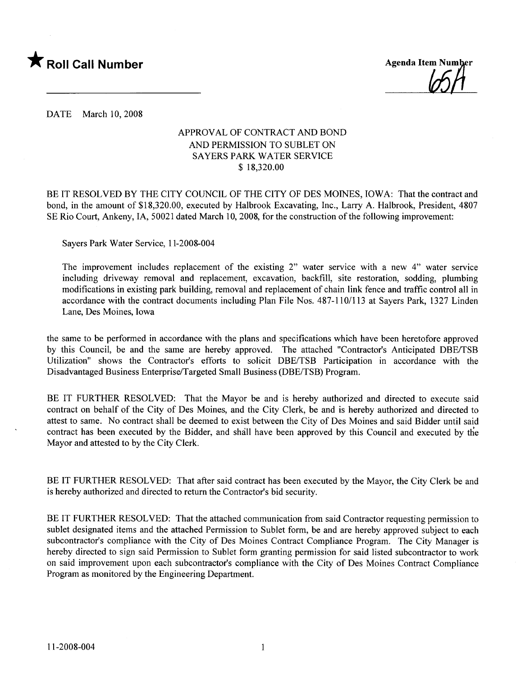

**Agenda Item Number** 

DATE March 10, 2008

#### APPROVAL OF CONTRACT AND BOND AND PERMISSION TO SUBLET ON SAYERS PARK WATER SERVICE \$ 18,320.00

BE IT RESOLVED BY THE CITY COUNCIL OF THE CITY OF DES MOINES, IOWA: That the contract and bond, in the amount of \$18,320.00, executed by Halbrook Excavating, Inc., Larry A. Halbrook, President, 4807 SE Rio Court, Ankeny, lA, 50021 dated March 10, 2008, for the construction of the following improvement:

Sayers Park Water Service, 11-2008-004

The improvement includes replacement of the existing 2" water service with a new 4" water service including driveway removal and replacement, excavation, backfill, site restoration, sodding, plumbing modifications in existing park building, removal and replacement of chain link fence and traffic control all in accordance with the contract documents including Plan File Nos. 487-110/113 at Sayers Park, 1327 Linden Lane, Des Moines, Iowa

the same to be performed in accordance with the plans and specifications which have been heretofore approved by this Council, be and the same are hereby approved. The attached "Contractor's Anticipated DBE/TSB Utilization" shows the Contractor's efforts to solicit DBE/TSB Participation in accordance with the Disadvantaged Business Enterprise/Targeted Small Business (DBE/TSB) Program.

BE IT FURTHER RESOLVED: That the Mayor be and is hereby authorized and directed to execute said contract on behalf of the City of Des Moines, and the City Clerk, be and is hereby authorized and directed to attest to same. No contract shall be deemed to exist between the City of Des Moines and said Bidder until said contract has been executed by the Bidder, and shall have been approved by this Council and executed by the Mayor and attested to by the City Clerk.

BE IT FURTHER RESOLVED: That after said contract has been executed by the Mayor, the City Clerk be and is hereby authorized and directed to return the Contractor's bid security.

BE IT FURTHER RESOLVED: That the attached communication from said Contractor requesting permission to sublet designated items and the attached Permission to Sublet form, be and are hereby approved subject to each subcontractor's compliance with the City of Des Moines Contract Compliance Program. The City Manager is hereby directed to sign said Permission to Sublet form granting permission for said listed subcontractor to work on said improvement upon each subcontractor's compliance with the City of Des Moines Contract Compliance Program as monitored by the Engineering Department.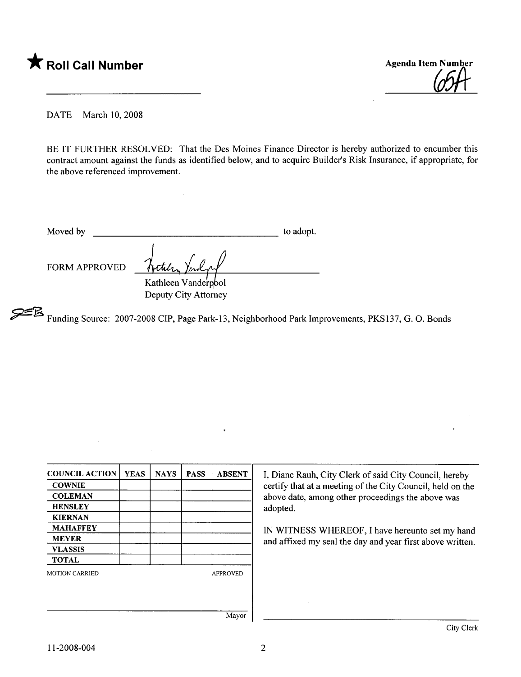



DATE March 10, 2008

BE IT FURTHER RESOLVED: That the Des Moines Finance Director is hereby authorized to encumber this contract amount against the funds as identified below, and to acquire Builder's Risk Insurance, if appropriate, for the above referenced improvement.

Moved by to adopt.

FORM APPROVED

Kathleen Vanderpbol Deputy City Attorney

~ Funding Source: 2007-2008 CIP, Page Park-13, Neighborhood Park Improvements, PKS137, G. O. Bonds

| <b>COUNCIL ACTION</b> | <b>YEAS</b> | <b>NAYS</b> | <b>PASS</b> | <b>ABSENT</b>   |
|-----------------------|-------------|-------------|-------------|-----------------|
| <b>COWNIE</b>         |             |             |             |                 |
| <b>COLEMAN</b>        |             |             |             |                 |
| <b>HENSLEY</b>        |             |             |             |                 |
| <b>KIERNAN</b>        |             |             |             |                 |
| <b>MAHAFFEY</b>       |             |             |             |                 |
| <b>MEYER</b>          |             |             |             |                 |
| <b>VLASSIS</b>        |             |             |             |                 |
| <b>TOTAL</b>          |             |             |             |                 |
| <b>MOTION CARRIED</b> |             |             |             | <b>APPROVED</b> |
|                       |             |             |             |                 |
|                       |             |             |             |                 |
|                       |             |             |             | Maxor           |

I, Diane Rauh, City Clerk of said City Council, hereby certify that at a meeting of the City Council, held on the above date, among other proceedings the above was adopted.

IN WITNESS WHEREOF, I have hereunto set my hand and affxed my seal the day and year first above written.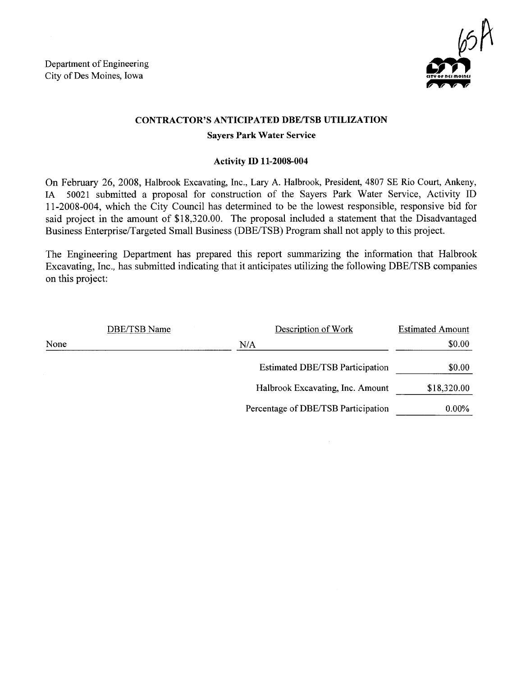Department of Engineering City of Des Moines, Iowa



### CONTRACTOR'S ANTICIPATED DBE/TSB UTILIZATION

#### Sayers Park Water Service

#### Activity ID 11-2008-004

On February 26, 2008, Halbrook Excavating, Inc., Lary A. Halbrook, President, 4807 SE Rio Court, Ankeny, IA 50021 submitted a proposal for construction of the Sayers Park Water Service, Activity ID 11-2008-004, which the City Council has determined to be the lowest responsible, responsive bid for said project in the amount of \$18,320.00. The proposal included a statement that the Disadvantaged Business Enterprise/Targeted Small Business (DBE/TSB) Program shall not apply to this project.

The Engineering Department has prepared this report summarizing the information that Halbrook Excavating, Inc., has submitted indicating that it anticipates utilizing the following DBE/TSB companies on this project:

|      | DBE/TSB Name | Description of Work                    | <b>Estimated Amount</b> |
|------|--------------|----------------------------------------|-------------------------|
| None |              | N/A                                    | \$0.00                  |
|      |              | <b>Estimated DBE/TSB Participation</b> | \$0.00                  |
|      |              | Halbrook Excavating, Inc. Amount       | \$18,320.00             |
|      |              | Percentage of DBE/TSB Participation    | $0.00\%$                |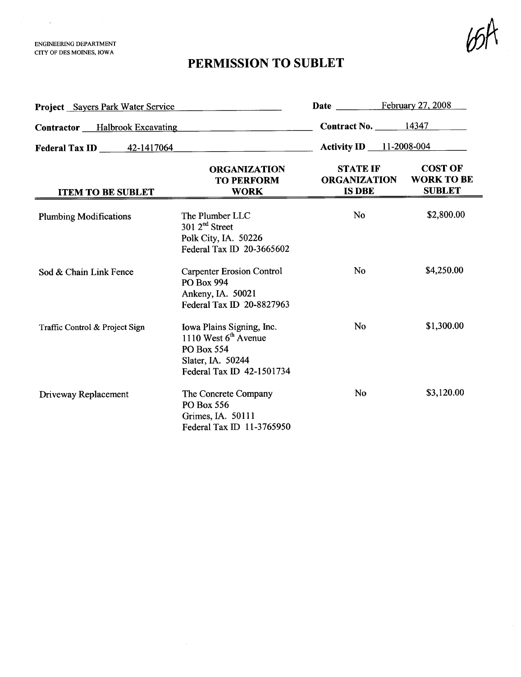ENGINEERIG DEPARTMENT CITY OF DES MOINS, IOWA

 $\mathcal{L} = \{ \mathcal{L} \}$ 

## PERMISSION TO SUBLET

 $b$ sk

| <b>Project</b> Sayers Park Water Service |                                                                                                                     | <b>Date</b>                                             | February 27, 2008                                    |
|------------------------------------------|---------------------------------------------------------------------------------------------------------------------|---------------------------------------------------------|------------------------------------------------------|
| <b>Contractor</b> Halbrook Excavating    |                                                                                                                     | Contract No. $14347$                                    |                                                      |
| Federal Tax ID 42-1417064                |                                                                                                                     | <b>Activity ID</b> 11-2008-004                          |                                                      |
| <b>ITEM TO BE SUBLET</b>                 | <b>ORGANIZATION</b><br><b>TO PERFORM</b><br><b>WORK</b>                                                             | <b>STATE IF</b><br><b>ORGANIZATION</b><br><b>IS DBE</b> | <b>COST OF</b><br><b>WORK TO BE</b><br><b>SUBLET</b> |
| <b>Plumbing Modifications</b>            | The Plumber LLC<br>$301 \, 2^{nd}$ Street<br>Polk City, IA. 50226<br>Federal Tax ID 20-3665602                      | <b>No</b>                                               | \$2,800.00                                           |
| Sod & Chain Link Fence                   | <b>Carpenter Erosion Control</b><br><b>PO Box 994</b><br>Ankeny, IA. 50021<br>Federal Tax ID 20-8827963             | N <sub>0</sub>                                          | \$4,250.00                                           |
| Traffic Control & Project Sign           | Iowa Plains Signing, Inc.<br>1110 West $6th$ Avenue<br>PO Box 554<br>Slater, IA. 50244<br>Federal Tax ID 42-1501734 | N <sub>0</sub>                                          | \$1,300.00                                           |
| Driveway Replacement                     | The Concrete Company<br>PO Box 556<br>Grimes, IA. 50111<br>Federal Tax ID 11-3765950                                | No                                                      | \$3,120.00                                           |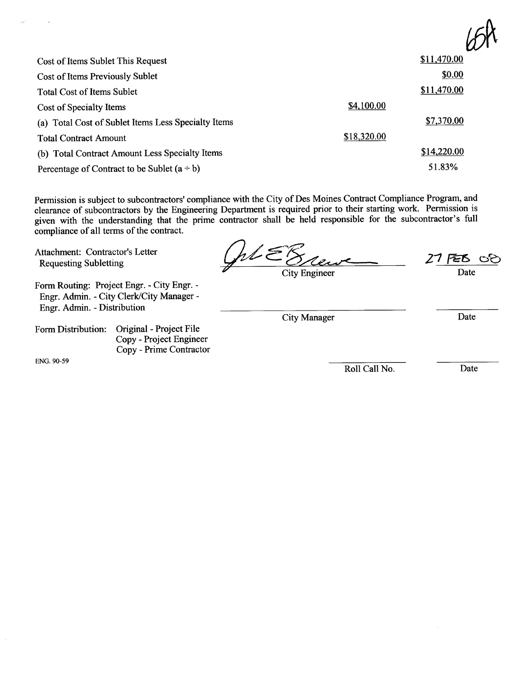| Cost of Items Sublet This Request                   |             | \$11,470.00 |
|-----------------------------------------------------|-------------|-------------|
| Cost of Items Previously Sublet                     |             | \$0.00      |
| <b>Total Cost of Items Sublet</b>                   |             | \$11,470.00 |
| Cost of Specialty Items                             | \$4,100.00  |             |
| (a) Total Cost of Sublet Items Less Specialty Items |             | \$7,370.00  |
| <b>Total Contract Amount</b>                        | \$18,320.00 |             |
| (b) Total Contract Amount Less Specialty Items      |             | \$14,220.00 |
| Percentage of Contract to be Sublet $(a \div b)$    |             | 51.83%      |

Permission is subject to subcontractors' compliance with the City of Des Moines Contract Compliance Program, and clearance of subcontractors by the Engineering Department is required prior to their starting work. Permission is given with the understanding that the prime contractor shall be held responsible for the subcontractor's full compliance of all terms of the contract.

Attachment: Contractor's Letter Actual Antanent: Contractor's Letter<br>Requesting Subletting

Form Routing: Project Engr. - City Engr. - Engr. Admin. - City Clerk/City Manager-Engr. Admin. - Distribution

Form Distribution: Original - Project File Copy - Project Engineer Copy - Prime Contractor

ENG. 90-59

 $\frac{27}{26}$  Cerve 27 FEB 00 Date

City Engineer

City Manager Date

Roll Call No. Date